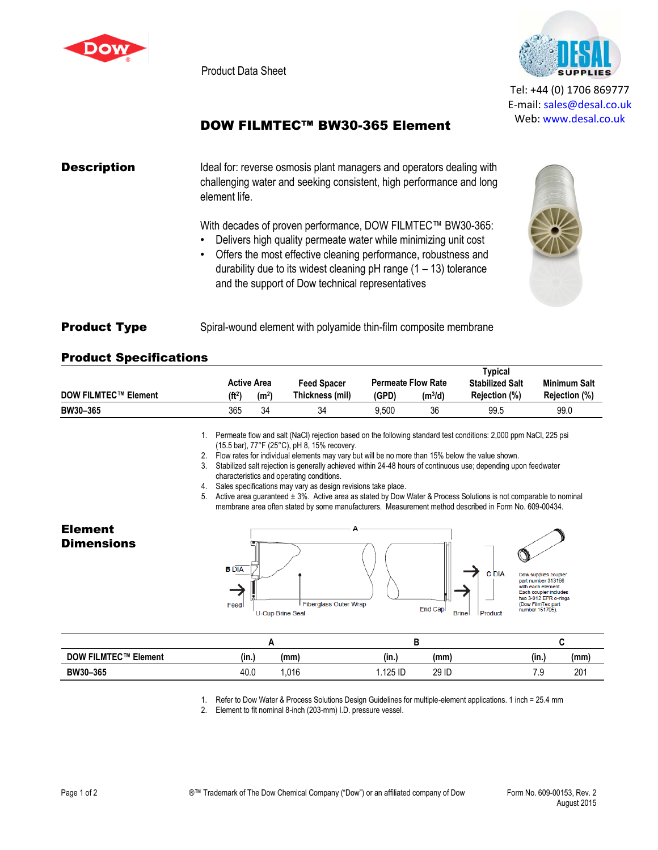

Product Data Sheet



Tel: +44 (0) 1706 869777 E‐mail: sales@desal.co.uk Web: www.desal.co.uk

## DOW FILMTEC™ BW30-365 Element

# **Description** Ideal for: reverse osmosis plant managers and operators dealing with challenging water and seeking consistent, high performance and long element life. With decades of proven performance, DOW FILMTEC™ BW30-365: • Delivers high quality permeate water while minimizing unit cost • Offers the most effective cleaning performance, robustness and durability due to its widest cleaning  $pH$  range  $(1 - 13)$  tolerance



### **Product Type** Spiral-wound element with polyamide thin-film composite membrane

#### Product Specifications

|                             | <b>Active Area</b> |                   | <b>Feed Spacer</b> | <b>Permeate Flow Rate</b> |                     | Typical<br><b>Stabilized Salt</b> | <b>Minimum Salt</b>  |
|-----------------------------|--------------------|-------------------|--------------------|---------------------------|---------------------|-----------------------------------|----------------------|
| <b>DOW FILMTEC™ Element</b> | (ft <sup>2</sup> ) | (m <sup>2</sup> ) | Thickness (mil)    | (GPD)                     | (m <sup>3</sup> /d) | Rejection (%)                     | <b>Rejection (%)</b> |
| BW30-365                    | 365                | 34                | 34                 | 9.500                     | 36                  | 99.5                              | 99.0                 |

and the support of Dow technical representatives

1. Permeate flow and salt (NaCl) rejection based on the following standard test conditions: 2,000 ppm NaCl, 225 psi (15.5 bar), 77°F (25°C), pH 8, 15% recovery.

2. Flow rates for individual elements may vary but will be no more than 15% below the value shown.

3. Stabilized salt rejection is generally achieved within 24-48 hours of continuous use; depending upon feedwater characteristics and operating conditions.

4. Sales specifications may vary as design revisions take place.

5. Active area guaranteed ± 3%. Active area as stated by Dow Water & Process Solutions is not comparable to nominal membrane area often stated by some manufacturers. Measurement method described in Form No. 609-00434.

Element **Dimensions** 





| <b>DOW FILMTEC™ Element</b> | (in.) | (mm) | $\cdots$<br>(mm)<br>(in.) | (in. | (mm        |
|-----------------------------|-------|------|---------------------------|------|------------|
| BW30-365                    | 40.0  | .016 | 29 ID<br>.125 ID          | ن. ا | nn-<br>2V. |

1. Refer to Dow Water & Process Solutions Design Guidelines for multiple-element applications. 1 inch = 25.4 mm

2. Element to fit nominal 8-inch (203-mm) I.D. pressure vessel.